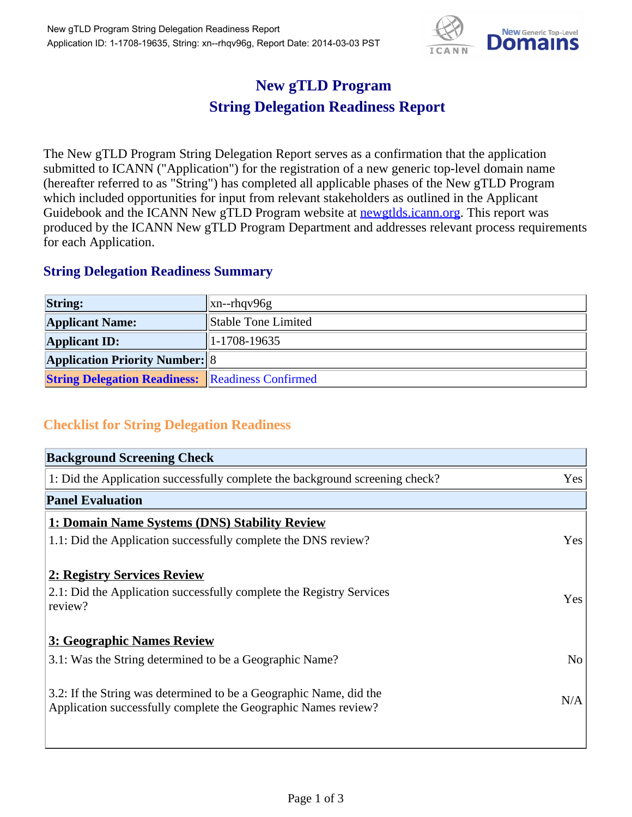

## **New gTLD Program String Delegation Readiness Report**

The New gTLD Program String Delegation Report serves as a confirmation that the application submitted to ICANN ("Application") for the registration of a new generic top-level domain name (hereafter referred to as "String") has completed all applicable phases of the New gTLD Program which included opportunities for input from relevant stakeholders as outlined in the Applicant Guidebook and the ICANN New gTLD Program website at **newgtlds.icann.org**. This report was produced by the ICANN New gTLD Program Department and addresses relevant process requirements for each Application.

## **String Delegation Readiness Summary**

| <b>String:</b>                                          | $\vert$ xn--rhqv96g |
|---------------------------------------------------------|---------------------|
| <b>Applicant Name:</b>                                  | Stable Tone Limited |
| <b>Applicant ID:</b>                                    | $ 1-1708-19635 $    |
| <b>Application Priority Number: 8</b>                   |                     |
| <b>String Delegation Readiness:</b> Readiness Confirmed |                     |

## **Checklist for String Delegation Readiness**

| <b>Background Screening Check</b>                                                                                                    |                |  |
|--------------------------------------------------------------------------------------------------------------------------------------|----------------|--|
| 1: Did the Application successfully complete the background screening check?                                                         | Yes            |  |
| <b>Panel Evaluation</b>                                                                                                              |                |  |
| 1: Domain Name Systems (DNS) Stability Review                                                                                        |                |  |
| 1.1: Did the Application successfully complete the DNS review?                                                                       | Yes            |  |
| 2: Registry Services Review                                                                                                          |                |  |
| 2.1: Did the Application successfully complete the Registry Services<br>review?                                                      | <b>Yes</b>     |  |
| 3: Geographic Names Review                                                                                                           |                |  |
| 3.1: Was the String determined to be a Geographic Name?                                                                              | N <sub>0</sub> |  |
| 3.2: If the String was determined to be a Geographic Name, did the<br>Application successfully complete the Geographic Names review? | N/A            |  |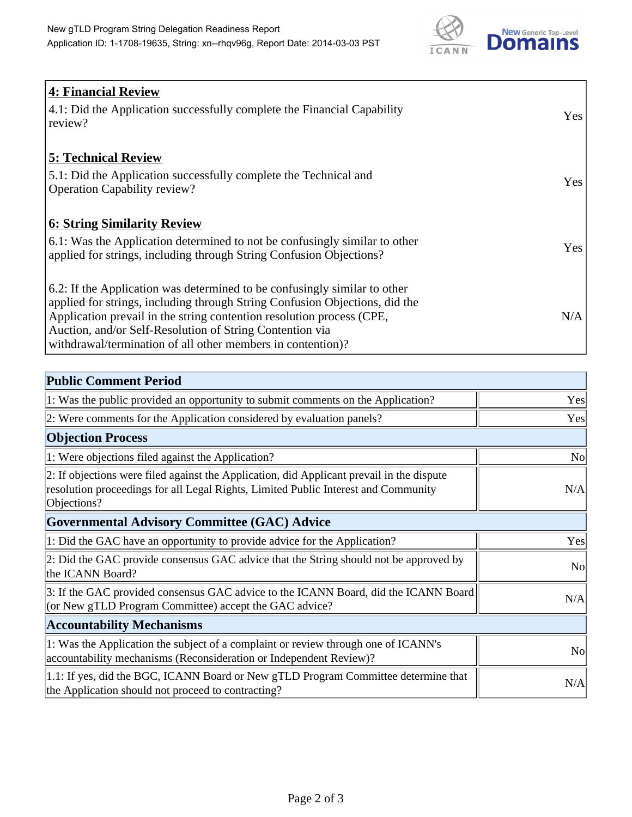

| <b>4: Financial Review</b><br>4.1: Did the Application successfully complete the Financial Capability<br>review?                                                                                                                                                                                                                                             | Yes |
|--------------------------------------------------------------------------------------------------------------------------------------------------------------------------------------------------------------------------------------------------------------------------------------------------------------------------------------------------------------|-----|
| <b>5: Technical Review</b><br>5.1: Did the Application successfully complete the Technical and<br><b>Operation Capability review?</b>                                                                                                                                                                                                                        | Yes |
| <b>6: String Similarity Review</b><br>$\vert$ 6.1: Was the Application determined to not be confusingly similar to other<br>applied for strings, including through String Confusion Objections?                                                                                                                                                              | Yes |
| 6.2: If the Application was determined to be confusingly similar to other<br>applied for strings, including through String Confusion Objections, did the<br>Application prevail in the string contention resolution process (CPE,<br>Auction, and/or Self-Resolution of String Contention via<br>withdrawal/termination of all other members in contention)? | N/A |

| <b>Public Comment Period</b>                                                                                                                                                                   |                |
|------------------------------------------------------------------------------------------------------------------------------------------------------------------------------------------------|----------------|
| 1: Was the public provided an opportunity to submit comments on the Application?                                                                                                               | Yes            |
| 2: Were comments for the Application considered by evaluation panels?                                                                                                                          | Yes            |
| <b>Objection Process</b>                                                                                                                                                                       |                |
| 1: Were objections filed against the Application?                                                                                                                                              | No             |
| 2: If objections were filed against the Application, did Applicant prevail in the dispute<br>resolution proceedings for all Legal Rights, Limited Public Interest and Community<br>Objections? | N/A            |
| <b>Governmental Advisory Committee (GAC) Advice</b>                                                                                                                                            |                |
| 1: Did the GAC have an opportunity to provide advice for the Application?                                                                                                                      | Yes            |
| 2: Did the GAC provide consensus GAC advice that the String should not be approved by<br>the ICANN Board?                                                                                      | N <sub>o</sub> |
| 3: If the GAC provided consensus GAC advice to the ICANN Board, did the ICANN Board<br>(or New gTLD Program Committee) accept the GAC advice?                                                  | N/A            |
| <b>Accountability Mechanisms</b>                                                                                                                                                               |                |
| 1: Was the Application the subject of a complaint or review through one of ICANN's<br>accountability mechanisms (Reconsideration or Independent Review)?                                       | N <sub>o</sub> |
| 1.1: If yes, did the BGC, ICANN Board or New gTLD Program Committee determine that<br>the Application should not proceed to contracting?                                                       | N/A            |